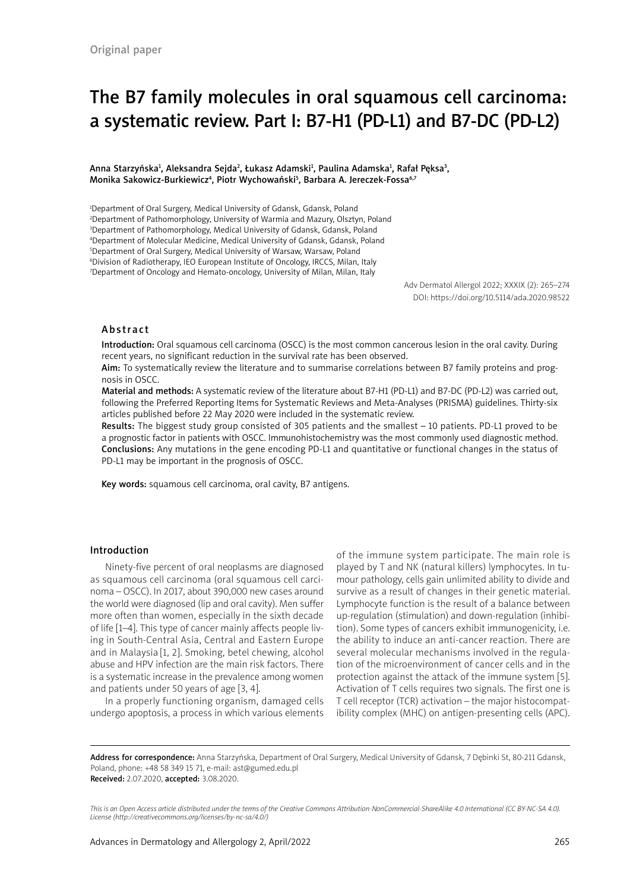# The B7 family molecules in oral squamous cell carcinoma: a systematic review. Part I: B7-H1 (PD-L1) and B7-DC (PD-L2)

#### Anna Starzyńska<del>'</del>, Aleksandra Sejda<sup>2</sup>, Łukasz Adamski<del>'</del>, Paulina Adamska', Rafał Pęksa<sup>3</sup>, Monika Sakowicz-Burkiewicz<sup>4</sup>, Piotr Wychowański<sup>5</sup>, Barbara A. Jereczek-Fossa<sup>6,7</sup>

<sup>1</sup>Department of Oral Surgery, Medical University of Gdansk, Gdansk, Poland Department of Pathomorphology, University of Warmia and Mazury, Olsztyn, Poland Department of Pathomorphology, Medical University of Gdansk, Gdansk, Poland Department of Molecular Medicine, Medical University of Gdansk, Gdansk, Poland Department of Oral Surgery, Medical University of Warsaw, Warsaw, Poland Division of Radiotherapy, IEO European Institute of Oncology, IRCCS, Milan, Italy Department of Oncology and Hemato-oncology, University of Milan, Milan, Italy

> Adv Dermatol Allergol 2022; XXXIX (2): 265–274 DOI: https://doi.org/10.5114/ada.2020.98522

#### Abstract

Introduction: Oral squamous cell carcinoma (OSCC) is the most common cancerous lesion in the oral cavity. During recent years, no significant reduction in the survival rate has been observed.

Aim: To systematically review the literature and to summarise correlations between B7 family proteins and prognosis in OSCC.

Material and methods: A systematic review of the literature about B7-H1 (PD-L1) and B7-DC (PD-L2) was carried out, following the Preferred Reporting Items for Systematic Reviews and Meta-Analyses (PRISMA) guidelines. Thirty-six articles published before 22 May 2020 were included in the systematic review.

Results: The biggest study group consisted of 305 patients and the smallest – 10 patients. PD-L1 proved to be a prognostic factor in patients with OSCC. Immunohistochemistry was the most commonly used diagnostic method. Conclusions: Any mutations in the gene encoding PD-L1 and quantitative or functional changes in the status of PD-L1 may be important in the prognosis of OSCC.

Key words: squamous cell carcinoma, oral cavity, B7 antigens.

#### Introduction

Ninety-five percent of oral neoplasms are diagnosed as squamous cell carcinoma (oral squamous cell carcinoma – OSCC). In 2017, about 390,000 new cases around the world were diagnosed (lip and oral cavity). Men suffer more often than women, especially in the sixth decade of life [1–4]. This type of cancer mainly affects people living in South-Central Asia, Central and Eastern Europe and in Malaysia [1, 2]. Smoking, betel chewing, alcohol abuse and HPV infection are the main risk factors. There is a systematic increase in the prevalence among women and patients under 50 years of age [3, 4].

In a properly functioning organism, damaged cells undergo apoptosis, a process in which various elements of the immune system participate. The main role is played by T and NK (natural killers) lymphocytes. In tumour pathology, cells gain unlimited ability to divide and survive as a result of changes in their genetic material. Lymphocyte function is the result of a balance between up-regulation (stimulation) and down-regulation (inhibition). Some types of cancers exhibit immunogenicity, i.e. the ability to induce an anti-cancer reaction. There are several molecular mechanisms involved in the regulation of the microenvironment of cancer cells and in the protection against the attack of the immune system [5]. Activation of T cells requires two signals. The first one is T cell receptor (TCR) activation – the major histocompatibility complex (MHC) on antigen-presenting cells (APC).

Address for correspondence: Anna Starzyńska, Department of Oral Surgery, Medical University of Gdansk, 7 Dębinki St, 80-211 Gdansk, Poland, phone: +48 58 349 15 71, e-mail: ast@gumed.edu.pl Received: 2.07.2020, accepted: 3.08.2020.

*This is an Open Access article distributed under the terms of the Creative Commons Attribution-NonCommercial-ShareAlike 4.0 International (CC BY-NC-SA 4.0). License (http://creativecommons.org/licenses/by-nc-sa/4.0/)*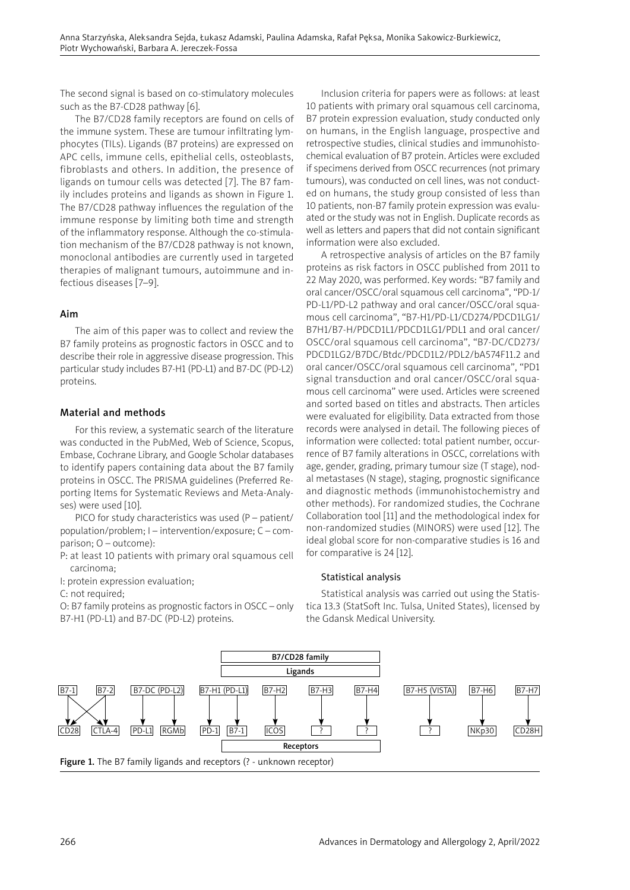The second signal is based on co-stimulatory molecules such as the B7-CD28 pathway [6].

The B7/CD28 family receptors are found on cells of the immune system. These are tumour infiltrating lymphocytes (TILs). Ligands (B7 proteins) are expressed on APC cells, immune cells, epithelial cells, osteoblasts, fibroblasts and others. In addition, the presence of ligands on tumour cells was detected [7]. The B7 family includes proteins and ligands as shown in Figure 1. The B7/CD28 pathway influences the regulation of the immune response by limiting both time and strength of the inflammatory response. Although the co-stimulation mechanism of the B7/CD28 pathway is not known, monoclonal antibodies are currently used in targeted therapies of malignant tumours, autoimmune and infectious diseases [7–9].

# Aim

The aim of this paper was to collect and review the B7 family proteins as prognostic factors in OSCC and to describe their role in aggressive disease progression. This particular study includes B7-H1 (PD-L1) and B7-DC (PD-L2) proteins.

# Material and methods

For this review, a systematic search of the literature was conducted in the PubMed, Web of Science, Scopus, Embase, Cochrane Library, and Google Scholar databases to identify papers containing data about the B7 family proteins in OSCC. The PRISMA guidelines (Preferred Reporting Items for Systematic Reviews and Meta-Analyses) were used [10].

PICO for study characteristics was used (P – patient/ population/problem; I – intervention/exposure; C – comparison; O – outcome):

P: at least 10 patients with primary oral squamous cell carcinoma;

I: protein expression evaluation;

C: not required;

O: B7 family proteins as prognostic factors in OSCC – only B7-H1 (PD-L1) and B7-DC (PD-L2) proteins.

Inclusion criteria for papers were as follows: at least 10 patients with primary oral squamous cell carcinoma, B7 protein expression evaluation, study conducted only on humans, in the English language, prospective and retrospective studies, clinical studies and immunohistochemical evaluation of B7 protein. Articles were excluded if specimens derived from OSCC recurrences (not primary tumours), was conducted on cell lines, was not conducted on humans, the study group consisted of less than 10 patients, non-B7 family protein expression was evaluated or the study was not in English. Duplicate records as well as letters and papers that did not contain significant information were also excluded.

A retrospective analysis of articles on the B7 family proteins as risk factors in OSCC published from 2011 to 22 May 2020, was performed. Key words: "B7 family and oral cancer/OSCC/oral squamous cell carcinoma", "PD-1/ PD-L1/PD-L2 pathway and oral cancer/OSCC/oral squamous cell carcinoma", "B7-H1/PD-L1/CD274/PDCD1LG1/ B7H1/B7-H/PDCD1L1/PDCD1LG1/PDL1 and oral cancer/ OSCC/oral squamous cell carcinoma", "B7-DC/CD273/ PDCD1LG2/B7DC/Btdc/PDCD1L2/PDL2/bA574F11.2 and oral cancer/OSCC/oral squamous cell carcinoma", "PD1 signal transduction and oral cancer/OSCC/oral squamous cell carcinoma" were used. Articles were screened and sorted based on titles and abstracts. Then articles were evaluated for eligibility. Data extracted from those records were analysed in detail. The following pieces of information were collected: total patient number, occurrence of B7 family alterations in OSCC, correlations with age, gender, grading, primary tumour size (T stage), nodal metastases (N stage), staging, prognostic significance and diagnostic methods (immunohistochemistry and other methods). For randomized studies, the Cochrane Collaboration tool [11] and the methodological index for non-randomized studies (MINORS) were used [12]. The ideal global score for non-comparative studies is 16 and for comparative is 24 [12].

## Statistical analysis

Statistical analysis was carried out using the Statistica 13.3 (StatSoft Inc. Tulsa, United States), licensed by the Gdansk Medical University.

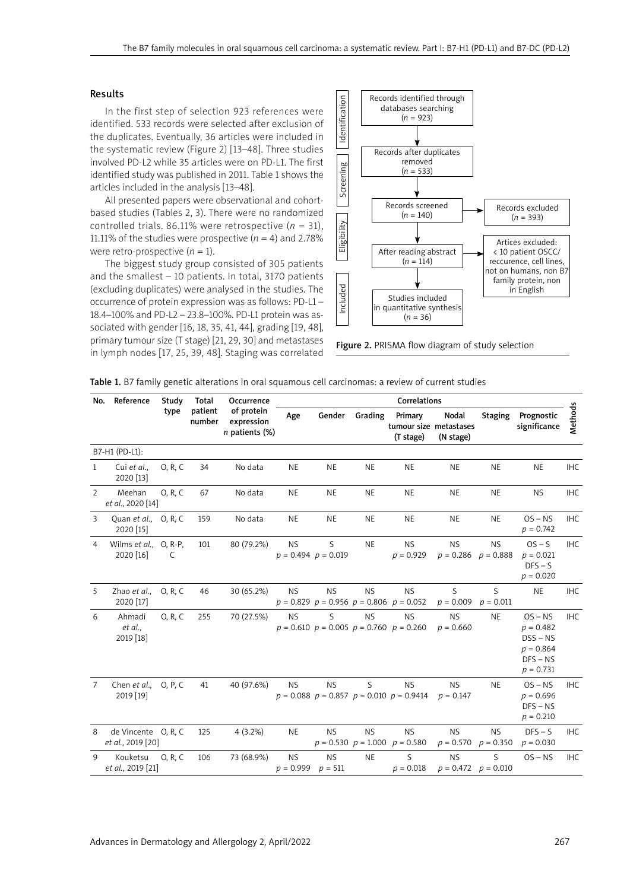#### Results

In the first step of selection 923 references were identified. 533 records were selected after exclusion of the duplicates. Eventually, 36 articles were included in the systematic review (Figure 2) [13–48]. Three studies involved PD-L2 while 35 articles were on PD-L1. The first identified study was published in 2011. Table 1 shows the articles included in the analysis [13–48].

All presented papers were observational and cohortbased studies (Tables 2, 3). There were no randomized controlled trials. 86.11% were retrospective  $(n = 31)$ , 11.11% of the studies were prospective  $(n = 4)$  and 2.78% were retro-prospective  $(n = 1)$ .

The biggest study group consisted of 305 patients and the smallest – 10 patients. In total, 3170 patients (excluding duplicates) were analysed in the studies. The occurrence of protein expression was as follows: PD-L1 – 18.4–100% and PD-L2 – 23.8–100%. PD-L1 protein was associated with gender [16, 18, 35, 41, 44], grading [19, 48], primary tumour size (T stage) [21, 29, 30] and metastases in lymph nodes [17, 25, 39, 48]. Staging was correlated



Figure 2. PRISMA flow diagram of study selection

|  |  |  | Table 1. B7 family genetic alterations in oral squamous cell carcinomas: a review of current studies |  |  |
|--|--|--|------------------------------------------------------------------------------------------------------|--|--|
|  |  |  |                                                                                                      |  |  |

|                | No. Reference                            | Study   | Total             | Occurrence                                 |                          | Correlations                 |           |                                                               |                                              |                          |                                                                                    |                |
|----------------|------------------------------------------|---------|-------------------|--------------------------------------------|--------------------------|------------------------------|-----------|---------------------------------------------------------------|----------------------------------------------|--------------------------|------------------------------------------------------------------------------------|----------------|
|                |                                          | type    | patient<br>number | of protein<br>expression<br>n patients (%) | Age                      | Gender                       | Grading   | Primary<br>(T stage)                                          | Nodal<br>tumour size metastases<br>(N stage) | <b>Staging</b>           | Prognostic<br>significance                                                         | <b>Methods</b> |
|                | B7-H1 (PD-L1):                           |         |                   |                                            |                          |                              |           |                                                               |                                              |                          |                                                                                    |                |
| $\mathbf{1}$   | Cui et al.,<br>2020 [13]                 | 0, R, C | 34                | No data                                    | <b>NE</b>                | <b>NE</b>                    | <b>NE</b> | <b>NE</b>                                                     | <b>NE</b>                                    | <b>NE</b>                | <b>NE</b>                                                                          | <b>IHC</b>     |
| $\overline{2}$ | Meehan<br>et al., 2020 [14]              | 0, R, C | 67                | No data                                    | <b>NE</b>                | <b>NE</b>                    | <b>NE</b> | <b>NE</b>                                                     | <b>NE</b>                                    | <b>NE</b>                | <b>NS</b>                                                                          | <b>IHC</b>     |
| 3              | Quan et al., O, R, C<br>2020 [15]        |         | 159               | No data                                    | <b>NE</b>                | <b>NE</b>                    | <b>NE</b> | <b>NE</b>                                                     | <b>NE</b>                                    | <b>NE</b>                | $OS - NS$<br>$p = 0.742$                                                           | <b>IHC</b>     |
| $\overline{4}$ | Wilms et al., O, R-P,<br>2020 [16]       | C       | 101               | 80 (79.2%)                                 | <b>NS</b>                | S<br>$p = 0.494$ $p = 0.019$ | <b>NE</b> | <b>NS</b><br>$p = 0.929$                                      | <b>NS</b><br>$p = 0.286$                     | <b>NS</b><br>$p = 0.888$ | $OS - S$<br>$p = 0.021$<br>$DFS - S$<br>$p = 0.020$                                | <b>IHC</b>     |
| 5              | Zhao et al.,<br>2020 [17]                | 0, R, C | 46                | 30 (65.2%)                                 | <b>NS</b>                | <b>NS</b>                    | <b>NS</b> | <b>NS</b><br>$p = 0.829$ $p = 0.956$ $p = 0.806$ $p = 0.052$  | S<br>$p = 0.009$                             | S<br>$p = 0.011$         | <b>NE</b>                                                                          | <b>IHC</b>     |
| 6              | Ahmadi<br>et al.,<br>2019 [18]           | 0, R, C | 255               | 70 (27.5%)                                 | <b>NS</b>                | S.                           | <b>NS</b> | <b>NS</b><br>$p = 0.610$ $p = 0.005$ $p = 0.760$ $p = 0.260$  | <b>NS</b><br>$p = 0.660$                     | <b>NE</b>                | $OS - NS$<br>$p = 0.482$<br>$DSS - NS$<br>$p = 0.864$<br>$DFS - NS$<br>$p = 0.731$ | <b>IHC</b>     |
| 7              | Chen et al.,<br>2019 [19]                | 0, P, C | 41                | 40 (97.6%)                                 | <b>NS</b>                | <b>NS</b>                    | S         | <b>NS</b><br>$p = 0.088$ $p = 0.857$ $p = 0.010$ $p = 0.9414$ | <b>NS</b><br>$p = 0.147$                     | <b>NE</b>                | $OS - NS$<br>$p = 0.696$<br>$DFS - NS$<br>$p = 0.210$                              | <b>IHC</b>     |
| 8              | de Vincente O, R, C<br>et al., 2019 [20] |         | 125               | $4(3.2\%)$                                 | <b>NE</b>                | <b>NS</b>                    | <b>NS</b> | <b>NS</b><br>$p = 0.530$ $p = 1.000$ $p = 0.580$              | <b>NS</b><br>$p = 0.570$                     | <b>NS</b><br>$p = 0.350$ | $DFS - S$<br>$p = 0.030$                                                           | <b>IHC</b>     |
| 9              | Kouketsu<br>et al., 2019 [21]            | 0, R, C | 106               | 73 (68.9%)                                 | <b>NS</b><br>$p = 0.999$ | <b>NS</b><br>$p = 511$       | <b>NE</b> | S<br>$p = 0.018$                                              | <b>NS</b><br>$p = 0.472$ $p = 0.010$         | S.                       | $OS - NS$                                                                          | <b>IHC</b>     |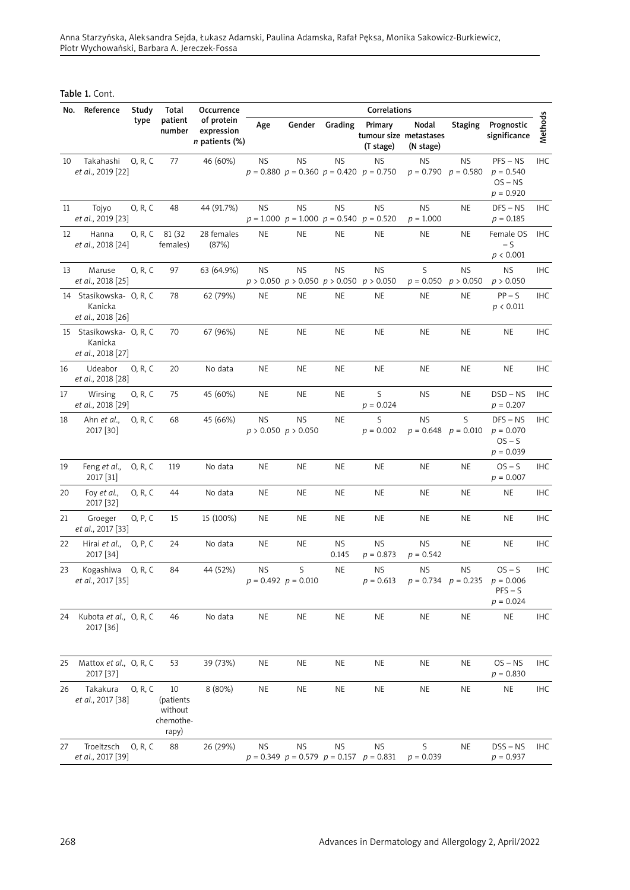Anna Starzyńska, Aleksandra Sejda, Łukasz Adamski, Paulina Adamska, Rafał Pęksa, Monika Sakowicz-Burkiewicz, Piotr Wychowański, Barbara A. Jereczek-Fossa

Table 1. Cont.

| No. | Reference                                               | Study   | Total                                            | Occurrence                                      |           |                                      |             | Correlations                                                 |                                      |                        |                                                                             |            |
|-----|---------------------------------------------------------|---------|--------------------------------------------------|-------------------------------------------------|-----------|--------------------------------------|-------------|--------------------------------------------------------------|--------------------------------------|------------------------|-----------------------------------------------------------------------------|------------|
|     |                                                         | type    | patient<br>number                                | of protein<br>expression<br>$n$ patients $(\%)$ | Age       | Gender                               | Grading     | Primary<br>tumour size metastases<br>(T stage)               | Nodal<br>(N stage)                   | <b>Staging</b>         | Prognostic<br>significance                                                  | Methods    |
| 10  | Takahashi<br>et al., 2019 [22]                          | 0, R, C | 77                                               | 46 (60%)                                        | <b>NS</b> | <b>NS</b>                            | <b>NS</b>   | <b>NS</b><br>$p = 0.880$ $p = 0.360$ $p = 0.420$ $p = 0.750$ | <b>NS</b><br>$p = 0.790$ $p = 0.580$ | NS.                    | $PFS - NS$<br>$p = 0.540$<br>$OS - NS$<br>$p = 0.920$                       | IHC        |
| 11  | Tojyo<br>et al., 2019 [23]                              | 0, R, C | 48                                               | 44 (91.7%)                                      | NS.       | ΝS                                   | <b>NS</b>   | ΝS<br>$p = 1.000$ $p = 1.000$ $p = 0.540$ $p = 0.520$        | <b>NS</b><br>$p = 1.000$             | NE                     | $DFS - NS$<br>$p = 0.185$                                                   | IHC        |
| 12  | Hanna<br>et al., 2018 [24]                              | 0, R, C | 81 (32)<br>females)                              | 28 females<br>(87%)                             | <b>NE</b> | NE                                   | NE          | NE                                                           | NE                                   | NE.                    | Female OS<br>$-5$<br>p < 0.001                                              | IHC        |
| 13  | Maruse<br>et al., 2018 [25]                             | 0, R, C | 97                                               | 63 (64.9%)                                      | <b>NS</b> | <b>NS</b>                            | <b>NS</b>   | ΝS<br>$p > 0.050$ $p > 0.050$ $p > 0.050$ $p > 0.050$        | S<br>$p = 0.050$                     | <b>NS</b><br>p > 0.050 | NS.<br>p > 0.050                                                            | <b>IHC</b> |
|     | 14 Stasikowska- O, R, C<br>Kanicka<br>et al., 2018 [26] |         | 78                                               | 62 (79%)                                        | <b>NE</b> | NE                                   | <b>NE</b>   | <b>NE</b>                                                    | <b>NE</b>                            | NE                     | $PP-S$<br>p < 0.011                                                         | <b>IHC</b> |
|     | 15 Stasikowska- O, R, C<br>Kanicka<br>et al., 2018 [27] |         | 70                                               | 67 (96%)                                        | <b>NE</b> | NE                                   | <b>NE</b>   | NE                                                           | <b>NE</b>                            | NE                     | <b>NE</b>                                                                   | <b>IHC</b> |
| 16  | Udeabor<br>et al., 2018 [28]                            | 0, R, C | 20                                               | No data                                         | NE        | <b>NE</b>                            | NE          | NE                                                           | <b>NE</b>                            | NE                     | <b>NE</b>                                                                   | <b>IHC</b> |
| 17  | Wirsing<br>et al., 2018 [29]                            | 0, R, C | 75                                               | 45 (60%)                                        | <b>NE</b> | <b>NE</b>                            | <b>NE</b>   | S<br>$p = 0.024$                                             | <b>NS</b>                            | NE                     | $DSD - NS$<br>$p = 0.207$                                                   | IHC        |
| 18  | Ahn et al.,<br>2017 [30]                                | 0, R, C | 68                                               | 45 (66%)                                        | <b>NS</b> | <b>NS</b><br>$p > 0.050$ $p > 0.050$ | <b>NE</b>   | S<br>$p = 0.002$                                             | <b>NS</b><br>$p = 0.648$ $p = 0.010$ | S                      | $DFS - NS$<br>$p = 0.070$<br>$OS - S$<br>$p = 0.039$                        | <b>IHC</b> |
| 19  | Feng et al.,<br>2017 [31]                               | 0, R, C | 119                                              | No data                                         | NE        | NE                                   | <b>NE</b>   | NE                                                           | <b>NE</b>                            | NE                     | $OS - S$<br>$p = 0.007$                                                     | <b>IHC</b> |
| 20  | Foy et al.,<br>2017 [32]                                | 0, R, C | 44                                               | No data                                         | <b>NE</b> | <b>NE</b>                            | NE          | NE                                                           | <b>NE</b>                            | <b>NE</b>              | <b>NE</b>                                                                   | IHC        |
| 21  | Groeger<br>et al., 2017 [33]                            | 0, P, C | 15                                               | 15 (100%)                                       | NE        | <b>NE</b>                            | NE          | NE                                                           | <b>NE</b>                            | NE                     | NE                                                                          | <b>IHC</b> |
| 22  | Hirai et al.,<br>2017 [34]                              | 0, P, C | 24                                               | No data                                         | NE        | NE                                   | ΝS<br>0.145 | <b>NS</b><br>$p = 0.873$                                     | <b>NS</b><br>$p = 0.542$             | NE                     | <b>NE</b>                                                                   | IHC        |
| 23  | Kogashiwa<br>et al., 2017 [35]                          | 0, R, C | 84                                               | 44 (52%)                                        | <b>NS</b> | $\sf S$<br>$p = 0.492$ $p = 0.010$   | NE          | NS.<br>$p = 0.613$                                           | NS.                                  | ΝS                     | $OS - S$<br>$p = 0.734$ $p = 0.235$ $p = 0.006$<br>$PFS - S$<br>$p = 0.024$ | <b>IHC</b> |
| 24  | Kubota et al., O, R, C<br>2017 [36]                     |         | 46                                               | No data                                         | <b>NE</b> | <b>NE</b>                            | <b>NE</b>   | <b>NE</b>                                                    | <b>NE</b>                            | <b>NE</b>              | <b>NE</b>                                                                   | <b>IHC</b> |
| 25  | Mattox et al., O, R, C<br>2017 [37]                     |         | 53                                               | 39 (73%)                                        | NE        | <b>NE</b>                            | NE          | <b>NE</b>                                                    | NE                                   | NE                     | $OS - NS$<br>$p = 0.830$                                                    | IHC        |
| 26  | Takakura<br>et al., 2017 [38]                           | 0, R, C | 10<br>(patients<br>without<br>chemothe-<br>rapy) | 8 (80%)                                         | <b>NE</b> | <b>NE</b>                            | NE          | <b>NE</b>                                                    | <b>NE</b>                            | NE                     | <b>NE</b>                                                                   | IHC        |
| 27  | Troeltzsch<br>et al., 2017 [39]                         | 0, R, C | 88                                               | 26 (29%)                                        | <b>NS</b> | <b>NS</b>                            | <b>NS</b>   | <b>NS</b><br>$p = 0.349$ $p = 0.579$ $p = 0.157$ $p = 0.831$ | S<br>$p = 0.039$                     | <b>NE</b>              | $DSS - NS$<br>$p = 0.937$                                                   | IHC        |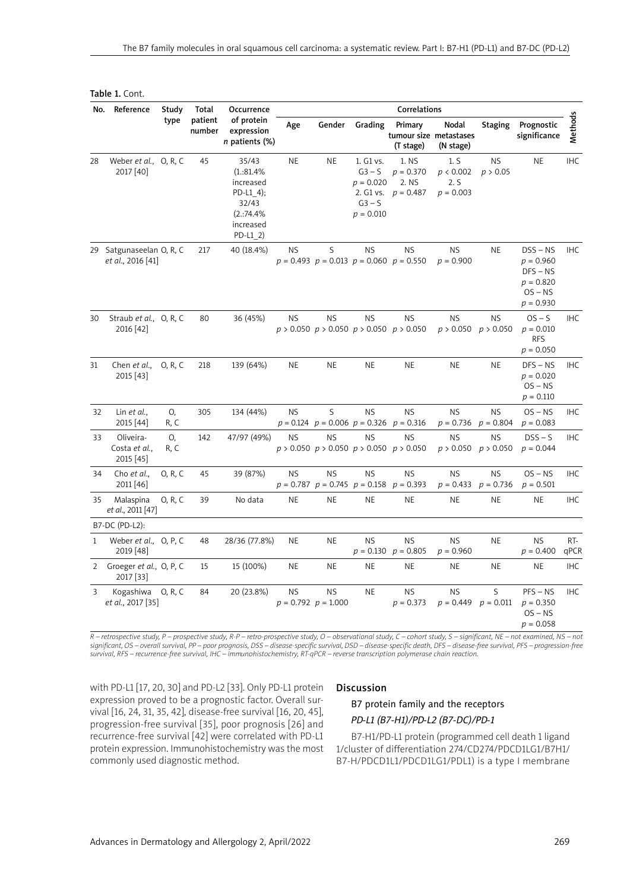| No.            | Reference                                     | Study      | Total             | Occurrence                                                                                   |           |                                      |                                                             | Correlations                                                 |                                              |                          |                                                                                    |             |
|----------------|-----------------------------------------------|------------|-------------------|----------------------------------------------------------------------------------------------|-----------|--------------------------------------|-------------------------------------------------------------|--------------------------------------------------------------|----------------------------------------------|--------------------------|------------------------------------------------------------------------------------|-------------|
|                |                                               | type       | patient<br>number | of protein<br>expression<br>n patients (%)                                                   | Age       | Gender                               | Grading                                                     | Primary<br>(T stage)                                         | Nodal<br>tumour size metastases<br>(N stage) | <b>Staging</b>           | Prognostic<br>significance                                                         | Methods     |
| 28             | Weber et al., O, R, C<br>2017 [40]            |            | 45                | 35/43<br>(1.31.4%<br>increased<br>PD-L1 4);<br>32/43<br>(2.374.4%<br>increased<br>$PD-L1$ 2) | <b>NE</b> | <b>NE</b>                            | 1. G1 vs.<br>$G3-S$<br>$p = 0.020$<br>$G3-S$<br>$p = 0.010$ | 1. NS<br>$p = 0.370$<br>2. NS<br>2. G1 vs. $p = 0.487$       | 1.5<br>p < 0.002<br>2.5<br>$p = 0.003$       | <b>NS</b><br>p > 0.05    | <b>NE</b>                                                                          | <b>IHC</b>  |
|                | 29 Satgunaseelan O, R, C<br>et al., 2016 [41] |            | 217               | 40 (18.4%)                                                                                   | <b>NS</b> | S                                    | <b>NS</b>                                                   | <b>NS</b><br>$p = 0.493$ $p = 0.013$ $p = 0.060$ $p = 0.550$ | <b>NS</b><br>$p = 0.900$                     | <b>NE</b>                | $DSS - NS$<br>$p = 0.960$<br>$DFS - NS$<br>$p = 0.820$<br>$OS - NS$<br>$p = 0.930$ | <b>IHC</b>  |
| 30             | Straub et al., O, R, C<br>2016 [42]           |            | 80                | 36 (45%)                                                                                     | <b>NS</b> | <b>NS</b>                            | <b>NS</b>                                                   | <b>NS</b><br>$p > 0.050$ $p > 0.050$ $p > 0.050$ $p > 0.050$ | <b>NS</b><br>p > 0.050                       | <b>NS</b><br>p > 0.050   | $OS - S$<br>$p = 0.010$<br><b>RFS</b><br>$p = 0.050$                               | <b>IHC</b>  |
| 31             | Chen et al.,<br>2015 [43]                     | 0, R, C    | 218               | 139 (64%)                                                                                    | <b>NE</b> | <b>NE</b>                            | <b>NE</b>                                                   | <b>NE</b>                                                    | <b>NE</b>                                    | NE                       | $DFS - NS$<br>$p = 0.020$<br>$OS - NS$<br>$p = 0.110$                              | <b>IHC</b>  |
| 32             | Lin et al.,<br>2015 [44]                      | O,<br>R, C | 305               | 134 (44%)                                                                                    | <b>NS</b> | S                                    | <b>NS</b>                                                   | <b>NS</b><br>$p = 0.124$ $p = 0.006$ $p = 0.326$ $p = 0.316$ | <b>NS</b><br>$p = 0.736$                     | <b>NS</b><br>$p = 0.804$ | $OS - NS$<br>$p = 0.083$                                                           | <b>IHC</b>  |
| 33             | Oliveira-<br>Costa et al.,<br>2015 [45]       | 0,<br>R, C | 142               | 47/97 (49%)                                                                                  | <b>NS</b> | <b>NS</b>                            | <b>NS</b>                                                   | <b>NS</b><br>$p > 0.050$ $p > 0.050$ $p > 0.050$ $p > 0.050$ | <b>NS</b><br>$p > 0.050$ $p > 0.050$         | <b>NS</b>                | $DSS - S$<br>$p = 0.044$                                                           | <b>IHC</b>  |
| 34             | Cho et al.,<br>2011 [46]                      | 0, R, C    | 45                | 39 (87%)                                                                                     | <b>NS</b> | <b>NS</b>                            | <b>NS</b>                                                   | <b>NS</b><br>$p = 0.787$ $p = 0.745$ $p = 0.158$ $p = 0.393$ | <b>NS</b><br>$p = 0.433$ $p = 0.736$         | <b>NS</b>                | $OS - NS$<br>$p = 0.501$                                                           | <b>IHC</b>  |
| 35             | Malaspina<br>et al., 2011 [47]                | 0, R, C    | 39                | No data                                                                                      | <b>NE</b> | <b>NE</b>                            | <b>NE</b>                                                   | <b>NE</b>                                                    | <b>NE</b>                                    | <b>NE</b>                | <b>NE</b>                                                                          | <b>IHC</b>  |
|                | B7-DC (PD-L2):                                |            |                   |                                                                                              |           |                                      |                                                             |                                                              |                                              |                          |                                                                                    |             |
| 1              | Weber et al., O, P, C<br>2019 [48]            |            | 48                | 28/36 (77.8%)                                                                                | <b>NE</b> | <b>NE</b>                            | <b>NS</b>                                                   | <b>NS</b><br>$p = 0.130$ $p = 0.805$                         | <b>NS</b><br>$p = 0.960$                     | <b>NE</b>                | <b>NS</b><br>$p = 0.400$                                                           | RT-<br>qPCR |
| $\overline{2}$ | Groeger et al., O, P, C<br>2017 [33]          |            | 15                | 15 (100%)                                                                                    | <b>NE</b> | <b>NE</b>                            | <b>NE</b>                                                   | <b>NE</b>                                                    | <b>NE</b>                                    | <b>NE</b>                | <b>NE</b>                                                                          | <b>IHC</b>  |
| 3              | Kogashiwa O, R, C<br>et al., 2017 [35]        |            | 84                | 20 (23.8%)                                                                                   | <b>NS</b> | <b>NS</b><br>$p = 0.792$ $p = 1.000$ | <b>NE</b>                                                   | <b>NS</b><br>$p = 0.373$                                     | <b>NS</b><br>$p = 0.449$ $p = 0.011$         | S                        | $PFS - NS$<br>$p = 0.350$<br>$OS - NS$<br>$p = 0.058$                              | <b>IHC</b>  |

Table 1. Cont.

*R – retrospective study, P – prospective study, R-P – retro-prospective study, O – observational study, C – cohort study, S – significant, NE – not examined, NS – not significant, OS – overall survival, PP – poor prognosis, DSS – disease-specific survival, DSD – disease-specific death, DFS – disease-free survival, PFS – progression-free survival, RFS – recurrence-free survival, IHC – immunohistochemistry, RT-qPCR – reverse transcription polymerase chain reaction.*

with PD-L1 [17, 20, 30] and PD-L2 [33]. Only PD-L1 protein expression proved to be a prognostic factor. Overall survival [16, 24, 31, 35, 42], disease-free survival [16, 20, 45], progression-free survival [35], poor prognosis [26] and recurrence-free survival [42] were correlated with PD-L1 protein expression. Immunohistochemistry was the most commonly used diagnostic method.

#### Discussion

# B7 protein family and the receptors *PD-L1 (B7-H1)/PD-L2 (B7-DC)/PD-1*

B7-H1/PD-L1 protein (programmed cell death 1 ligand 1/cluster of differentiation 274/CD274/PDCD1LG1/B7H1/ B7-H/PDCD1L1/PDCD1LG1/PDL1) is a type I membrane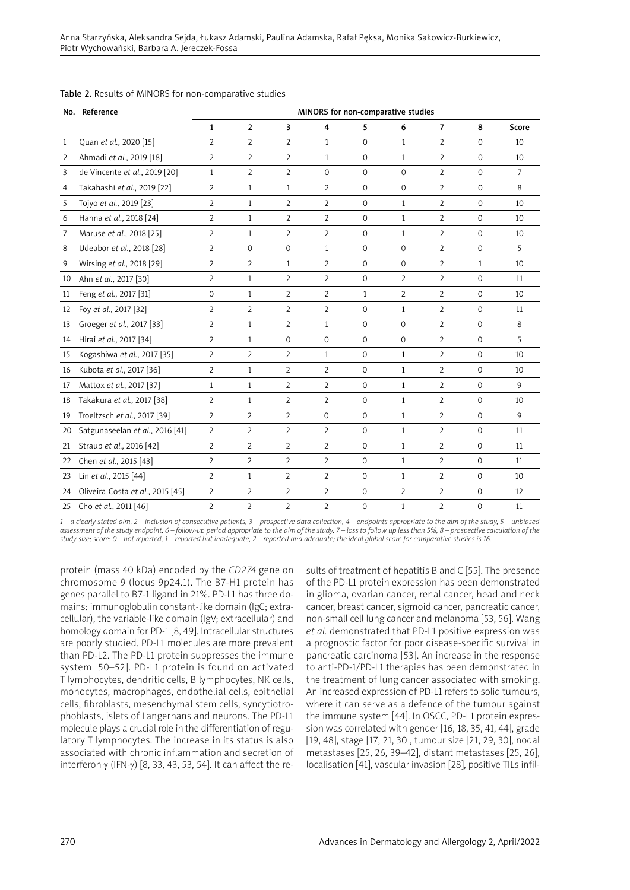|    | No. Reference                    |                |                |                |                | MINORS for non-comparative studies |                |                |              |                |
|----|----------------------------------|----------------|----------------|----------------|----------------|------------------------------------|----------------|----------------|--------------|----------------|
|    |                                  | $\mathbf{1}$   | $\overline{2}$ | 3              | 4              | 5                                  | 6              | $\overline{7}$ | 8            | Score          |
| 1  | Ouan et al., 2020 [15]           | $\overline{2}$ | $\overline{2}$ | $\overline{2}$ | $\mathbf{1}$   | $\Omega$                           | $\mathbf{1}$   | $\overline{2}$ | $\Omega$     | 10             |
| 2  | Ahmadi et al., 2019 [18]         | $\overline{2}$ | $\overline{2}$ | $\overline{2}$ | $\mathbf{1}$   | $\Omega$                           | $\mathbf{1}$   | 2              | $\Omega$     | 10             |
| 3  | de Vincente et al., 2019 [20]    | $\mathbf{1}$   | $\overline{2}$ | $\overline{2}$ | $\mathbf 0$    | $\Omega$                           | $\Omega$       | $\overline{2}$ | $\Omega$     | $\overline{7}$ |
| 4  | Takahashi et al., 2019 [22]      | $\overline{2}$ | $\mathbf{1}$   | $\mathbf{1}$   | $\overline{2}$ | $\mathbf{O}$                       | $\mathbf 0$    | 2              | $\mathbf 0$  | 8              |
| 5  | Tojyo et al., 2019 [23]          | $\overline{2}$ | $\mathbf{1}$   | $\overline{2}$ | $\overline{2}$ | $\mathbf 0$                        | $\mathbf{1}$   | 2              | $\Omega$     | 10             |
| 6  | Hanna et al., 2018 [24]          | $\overline{2}$ | $\mathbf{1}$   | $\overline{2}$ | $\overline{2}$ | $\mathbf 0$                        | $\mathbf{1}$   | $\overline{2}$ | $\mathbf{0}$ | 10             |
| 7  | Maruse et al., 2018 [25]         | $\overline{2}$ | $\mathbf{1}$   | $\overline{2}$ | $\overline{2}$ | $\Omega$                           | $\mathbf{1}$   | 2              | $\Omega$     | 10             |
| 8  | Udeabor et al., 2018 [28]        | $\overline{2}$ | $\mathbf{O}$   | $\mathbf 0$    | $\mathbf{1}$   | $\mathbf 0$                        | $\mathbf{O}$   | $\overline{2}$ | $\mathbf{O}$ | 5              |
| 9  | Wirsing et al., 2018 [29]        | $\overline{2}$ | $\overline{2}$ | $\mathbf{1}$   | $\overline{2}$ | $\mathbf 0$                        | $\mathbf{0}$   | $\overline{2}$ | $\mathbf{1}$ | 10             |
| 10 | Ahn et al., 2017 [30]            | 2              | $\mathbf{1}$   | $\overline{2}$ | 2              | $\mathbf 0$                        | $\overline{2}$ | $\overline{2}$ | $\mathbf{O}$ | 11             |
| 11 | Feng et al., 2017 [31]           | $\mathbf{0}$   | $\mathbf{1}$   | 2              | $\overline{2}$ | $\mathbf{1}$                       | 2              | $\overline{2}$ | $\mathbf 0$  | 10             |
| 12 | Foy et al., 2017 [32]            | $\overline{2}$ | $\overline{2}$ | $\overline{2}$ | $\overline{2}$ | $\mathbf 0$                        | $\mathbf{1}$   | $\overline{2}$ | $\mathbf 0$  | 11             |
| 13 | Groeger et al., 2017 [33]        | $\overline{2}$ | $\mathbf{1}$   | $\overline{2}$ | $\mathbf{1}$   | $\mathbf{0}$                       | $\mathbf{O}$   | $\overline{2}$ | $\mathbf 0$  | 8              |
| 14 | Hirai et al., 2017 [34]          | $\overline{2}$ | $\mathbf{1}$   | $\mathsf{O}$   | $\mathbf 0$    | $\mathbf 0$                        | $\mathbf{O}$   | $\overline{2}$ | $\mathbf 0$  | 5              |
| 15 | Kogashiwa et al., 2017 [35]      | 2              | $\overline{2}$ | $\overline{2}$ | $\mathbf{1}$   | $\mathbf{0}$                       | $\mathbf{1}$   | $\overline{2}$ | $\mathbf 0$  | 10             |
| 16 | Kubota et al., 2017 [36]         | $\overline{2}$ | $\mathbf{1}$   | $\overline{2}$ | $\overline{2}$ | $\mathbf 0$                        | $\mathbf{1}$   | $\overline{2}$ | $\mathbf 0$  | 10             |
| 17 | Mattox et al., 2017 [37]         | $\mathbf{1}$   | $\mathbf{1}$   | $\overline{2}$ | $\overline{2}$ | $\mathbf{0}$                       | $\mathbf{1}$   | $\overline{2}$ | $\mathbf 0$  | 9              |
| 18 | Takakura et al., 2017 [38]       | 2              | $\mathbf{1}$   | $\overline{2}$ | 2              | $\mathbf 0$                        | $\mathbf{1}$   | $\overline{2}$ | $\mathbf 0$  | 10             |
| 19 | Troeltzsch et al., 2017 [39]     | 2              | $\overline{2}$ | $\overline{2}$ | $\mathbf 0$    | $\mathbf 0$                        | $\mathbf{1}$   | $\overline{2}$ | $\mathbf 0$  | 9              |
| 20 | Satgunaseelan et al., 2016 [41]  | 2              | $\overline{2}$ | $\overline{2}$ | 2              | $\mathbf 0$                        | $\mathbf{1}$   | $\overline{2}$ | $\mathbf 0$  | 11             |
| 21 | Straub et al., 2016 [42]         | $\overline{2}$ | $\overline{2}$ | $\overline{2}$ | $\overline{2}$ | $\mathbf 0$                        | $\mathbf{1}$   | 2              | $\mathbf 0$  | 11             |
| 22 | Chen et al., 2015 [43]           | $\overline{2}$ | $\overline{2}$ | $\overline{2}$ | 2              | $\mathbf 0$                        | $\mathbf{1}$   | $\overline{2}$ | $\mathbf{0}$ | 11             |
| 23 | Lin et al., 2015 [44]            | $\overline{2}$ | $\mathbf{1}$   | $\overline{2}$ | $\overline{2}$ | $\mathbf 0$                        | $\mathbf{1}$   | $\overline{2}$ | $\mathbf 0$  | 10             |
| 24 | Oliveira-Costa et al., 2015 [45] | $\overline{2}$ | $\overline{2}$ | $\overline{2}$ | $\overline{2}$ | $\mathbf 0$                        | $\overline{2}$ | $\overline{2}$ | $\mathbf 0$  | 12             |
| 25 | Cho et al., 2011 [46]            | 2              | $\overline{2}$ | $\overline{2}$ | $\overline{2}$ | $\mathbf 0$                        | $\mathbf{1}$   | $\overline{2}$ | $\mathbf 0$  | 11             |

#### Table 2. Results of MINORS for non-comparative studies

*1 – a clearly stated aim, 2 – inclusion of consecutive patients, 3 – prospective data collection, 4 – endpoints appropriate to the aim of the study, 5 – unbiased assessment of the study endpoint, 6 – follow-up period appropriate to the aim of the study, 7 – loss to follow up less than 5%, 8 – prospective calculation of the study size; score: 0 – not reported, 1 – reported but inadequate, 2 – reported and adequate; the ideal global score for comparative studies is 16.*

protein (mass 40 kDa) encoded by the *CD274* gene on chromosome 9 (locus 9p24.1). The B7-H1 protein has genes parallel to B7-1 ligand in 21%. PD-L1 has three domains: immunoglobulin constant-like domain (IgC; extracellular), the variable-like domain (IgV; extracellular) and homology domain for PD-1 [8, 49]. Intracellular structures are poorly studied. PD-L1 molecules are more prevalent than PD-L2. The PD-L1 protein suppresses the immune system [50–52]. PD-L1 protein is found on activated T lymphocytes, dendritic cells, B lymphocytes, NK cells, monocytes, macrophages, endothelial cells, epithelial cells, fibroblasts, mesenchymal stem cells, syncytiotrophoblasts, islets of Langerhans and neurons. The PD-L1 molecule plays a crucial role in the differentiation of regulatory T lymphocytes. The increase in its status is also associated with chronic inflammation and secretion of interferon γ (IFN-γ) [8, 33, 43, 53, 54]. It can affect the results of treatment of hepatitis B and C [55]. The presence of the PD-L1 protein expression has been demonstrated in glioma, ovarian cancer, renal cancer, head and neck cancer, breast cancer, sigmoid cancer, pancreatic cancer, non-small cell lung cancer and melanoma [53, 56]. Wang *et al.* demonstrated that PD-L1 positive expression was a prognostic factor for poor disease-specific survival in pancreatic carcinoma [53]. An increase in the response to anti-PD-1/PD-L1 therapies has been demonstrated in the treatment of lung cancer associated with smoking. An increased expression of PD-L1 refers to solid tumours, where it can serve as a defence of the tumour against the immune system [44]. In OSCC, PD-L1 protein expression was correlated with gender [16, 18, 35, 41, 44], grade [19, 48], stage [17, 21, 30], tumour size [21, 29, 30], nodal metastases [25, 26, 39–42], distant metastases [25, 26], localisation [41], vascular invasion [28], positive TILs infil-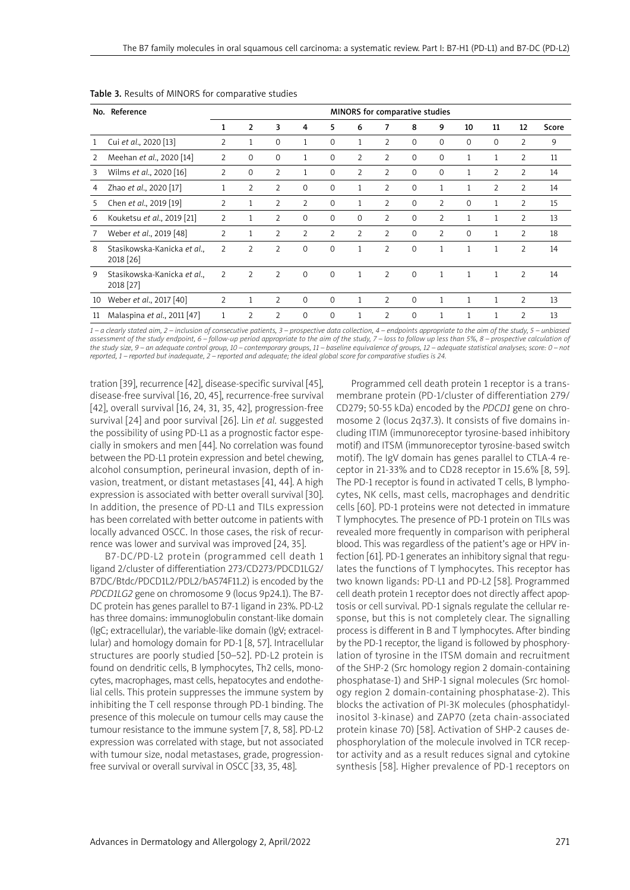| No. | Reference                                |                |                |                |                |                |                | MINORS for comparative studies |             |                |              |                |                |       |
|-----|------------------------------------------|----------------|----------------|----------------|----------------|----------------|----------------|--------------------------------|-------------|----------------|--------------|----------------|----------------|-------|
|     |                                          | 1              | $\overline{2}$ | 3              | 4              | 5              | 6              | $\overline{7}$                 | 8           | 9              | 10           | 11             | 12             | Score |
|     | Cui et al., 2020 [13]                    | 2              | 1              | $\Omega$       | 1              | $\Omega$       | 1              | 2                              | $\mathbf 0$ | $\Omega$       | $\Omega$     | $\Omega$       | $\overline{2}$ | 9     |
| 2   | Meehan et al., 2020 [14]                 | 2              | $\Omega$       | $\Omega$       | 1              | $\Omega$       | $\overline{2}$ | $\overline{2}$                 | $\mathbf 0$ | $\Omega$       |              | 1              | $\overline{2}$ | 11    |
| 3   | Wilms et al., 2020 [16]                  | 2              | 0              | 2              | 1              | $\Omega$       | 2              | 2                              | 0           | $\Omega$       |              | $\overline{2}$ | $\overline{2}$ | 14    |
| 4   | Zhao et al., 2020 [17]                   |                | 2              | $\overline{2}$ | $\Omega$       | $\Omega$       | 1              | $\overline{2}$                 | $\Omega$    | 1              |              | $\overline{2}$ | $\overline{2}$ | 14    |
| 5.  | Chen et al., 2019 [19]                   | $\overline{2}$ | $\mathbf{1}$   | $\overline{2}$ | $\overline{2}$ | $\Omega$       | 1              | 2                              | 0           | $\overline{2}$ | $\Omega$     | 1              | 2              | 15    |
| 6   | Kouketsu et al., 2019 [21]               | $\overline{2}$ | $\mathbf{1}$   | $\overline{2}$ | $\Omega$       | $\Omega$       | $\Omega$       | 2                              | $\Omega$    | $\overline{2}$ |              | 1              | $\overline{2}$ | 13    |
|     | Weber et al., 2019 [48]                  | $\overline{2}$ | $\mathbf{1}$   | $\overline{2}$ | $\overline{2}$ | $\overline{2}$ | $\overline{2}$ | $\overline{2}$                 | $\Omega$    | $\overline{2}$ | $\Omega$     | 1              | $\overline{2}$ | 18    |
| 8   | Stasikowska-Kanicka et al.,<br>2018 [26] | $\overline{2}$ | $\overline{2}$ | 2              | $\Omega$       | $\Omega$       | 1              | $\overline{2}$                 | $\Omega$    | $\mathbf{1}$   | $\mathbf{1}$ | 1              | $\overline{2}$ | 14    |
| 9   | Stasikowska-Kanicka et al.,<br>2018 [27] | $\overline{2}$ | $\overline{2}$ | $\overline{2}$ | $\Omega$       | $\Omega$       | 1              | $\overline{2}$                 | $\Omega$    | $\mathbf{1}$   |              | $\mathbf{1}$   | $\overline{2}$ | 14    |
| 10  | Weber et al., 2017 [40]                  | $\overline{2}$ | 1              | $\overline{2}$ | $\Omega$       | $\Omega$       | $\mathbf{1}$   | $\overline{2}$                 | $\Omega$    | $\mathbf{1}$   | 1            | 1              | $\overline{2}$ | 13    |
| 11  | Malaspina et al., 2011 [47]              |                | $\overline{2}$ | 2              | 0              | $\mathbf 0$    | 1              | 2                              | $\mathbf 0$ | $\mathbf{1}$   | 1            | 1              | 2              | 13    |

Table 3. Results of MINORS for comparative studies

*1 – a clearly stated aim, 2 – inclusion of consecutive patients, 3 – prospective data collection, 4 – endpoints appropriate to the aim of the study, 5 – unbiased*  assessment of the study endpoint, 6 – follow-up period appropriate to the aim of the study, 7 – loss to follow up less than 5%, 8 – prospective calculation of *the study size, 9 – an adequate control group, 10 – contemporary groups, 11 – baseline equivalence of groups, 12 – adequate statistical analyses; score: 0 – not reported, 1 – reported but inadequate, 2 – reported and adequate; the ideal global score for comparative studies is 24.*

tration [39], recurrence [42], disease-specific survival [45], disease-free survival [16, 20, 45], recurrence-free survival [42], overall survival [16, 24, 31, 35, 42], progression-free survival [24] and poor survival [26]. Lin *et al.* suggested the possibility of using PD-L1 as a prognostic factor especially in smokers and men [44]. No correlation was found between the PD-L1 protein expression and betel chewing, alcohol consumption, perineural invasion, depth of invasion, treatment, or distant metastases [41, 44]. A high expression is associated with better overall survival [30]. In addition, the presence of PD-L1 and TILs expression has been correlated with better outcome in patients with locally advanced OSCC. In those cases, the risk of recurrence was lower and survival was improved [24, 35].

B7-DC/PD-L2 protein (programmed cell death 1 ligand 2/cluster of differentiation 273/CD273/PDCD1LG2/ B7DC/Btdc/PDCD1L2/PDL2/bA574F11.2) is encoded by the *PDCD1LG2* gene on chromosome 9 (locus 9p24.1). The B7- DC protein has genes parallel to B7-1 ligand in 23%. PD-L2 has three domains: immunoglobulin constant-like domain (IgC; extracellular), the variable-like domain (IgV; extracellular) and homology domain for PD-1 [8, 57]. Intracellular structures are poorly studied [50–52]. PD-L2 protein is found on dendritic cells, B lymphocytes, Th2 cells, monocytes, macrophages, mast cells, hepatocytes and endothelial cells. This protein suppresses the immune system by inhibiting the T cell response through PD-1 binding. The presence of this molecule on tumour cells may cause the tumour resistance to the immune system [7, 8, 58]. PD-L2 expression was correlated with stage, but not associated with tumour size, nodal metastases, grade, progressionfree survival or overall survival in OSCC [33, 35, 48].

Programmed cell death protein 1 receptor is a transmembrane protein (PD-1/cluster of differentiation 279/ CD279; 50-55 kDa) encoded by the *PDCD1* gene on chromosome 2 (locus 2q37.3). It consists of five domains including ITIM (immunoreceptor tyrosine-based inhibitory motif) and ITSM (immunoreceptor tyrosine-based switch motif). The IgV domain has genes parallel to CTLA-4 receptor in 21-33% and to CD28 receptor in 15.6% [8, 59]. The PD-1 receptor is found in activated T cells, B lymphocytes, NK cells, mast cells, macrophages and dendritic cells [60]. PD-1 proteins were not detected in immature T lymphocytes. The presence of PD-1 protein on TILs was revealed more frequently in comparison with peripheral blood. This was regardless of the patient's age or HPV infection [61]. PD-1 generates an inhibitory signal that regulates the functions of T lymphocytes. This receptor has two known ligands: PD-L1 and PD-L2 [58]. Programmed cell death protein 1 receptor does not directly affect apoptosis or cell survival. PD-1 signals regulate the cellular response, but this is not completely clear. The signalling process is different in B and T lymphocytes. After binding by the PD-1 receptor, the ligand is followed by phosphorylation of tyrosine in the ITSM domain and recruitment of the SHP-2 (Src homology region 2 domain-containing phosphatase-1) and SHP-1 signal molecules (Src homology region 2 domain-containing phosphatase-2). This blocks the activation of PI-3K molecules (phosphatidylinositol 3-kinase) and ZAP70 (zeta chain-associated protein kinase 70) [58]. Activation of SHP-2 causes dephosphorylation of the molecule involved in TCR receptor activity and as a result reduces signal and cytokine synthesis [58]. Higher prevalence of PD-1 receptors on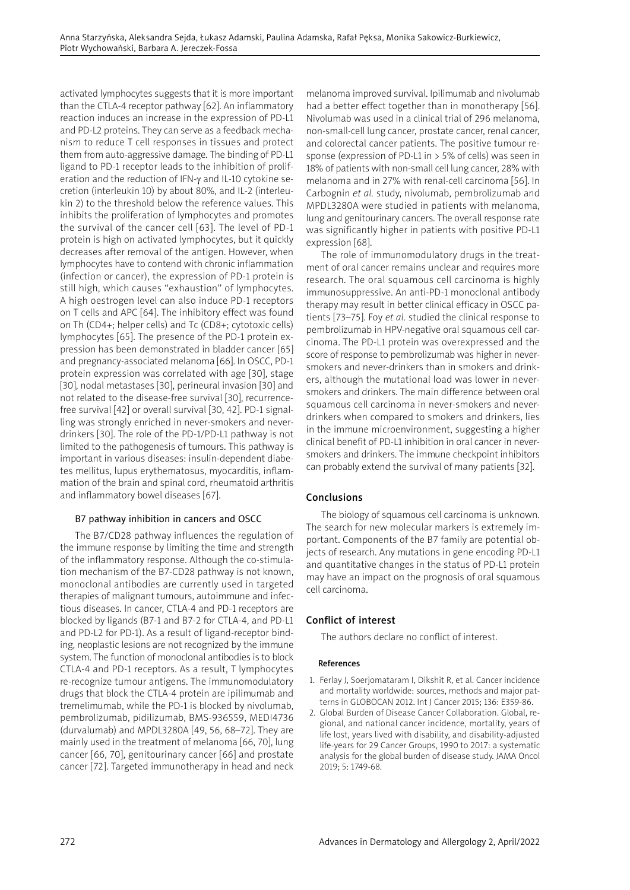activated lymphocytes suggests that it is more important than the CTLA-4 receptor pathway [62]. An inflammatory reaction induces an increase in the expression of PD-L1 and PD-L2 proteins. They can serve as a feedback mechanism to reduce T cell responses in tissues and protect them from auto-aggressive damage. The binding of PD-L1 ligand to PD-1 receptor leads to the inhibition of proliferation and the reduction of IFN-γ and IL-10 cytokine secretion (interleukin 10) by about 80%, and IL-2 (interleukin 2) to the threshold below the reference values. This inhibits the proliferation of lymphocytes and promotes the survival of the cancer cell [63]. The level of PD-1 protein is high on activated lymphocytes, but it quickly decreases after removal of the antigen. However, when lymphocytes have to contend with chronic inflammation (infection or cancer), the expression of PD-1 protein is still high, which causes "exhaustion" of lymphocytes. A high oestrogen level can also induce PD-1 receptors on T cells and APC [64]. The inhibitory effect was found on Th (CD4+; helper cells) and Tc (CD8+; cytotoxic cells) lymphocytes [65]. The presence of the PD-1 protein expression has been demonstrated in bladder cancer [65] and pregnancy-associated melanoma [66]. In OSCC, PD-1 protein expression was correlated with age [30], stage [30], nodal metastases [30], perineural invasion [30] and not related to the disease-free survival [30], recurrencefree survival [42] or overall survival [30, 42]. PD-1 signalling was strongly enriched in never-smokers and neverdrinkers [30]. The role of the PD-1/PD-L1 pathway is not limited to the pathogenesis of tumours. This pathway is important in various diseases: insulin-dependent diabetes mellitus, lupus erythematosus, myocarditis, inflammation of the brain and spinal cord, rheumatoid arthritis and inflammatory bowel diseases [67].

# B7 pathway inhibition in cancers and OSCC

The B7/CD28 pathway influences the regulation of the immune response by limiting the time and strength of the inflammatory response. Although the co-stimulation mechanism of the B7-CD28 pathway is not known, monoclonal antibodies are currently used in targeted therapies of malignant tumours, autoimmune and infectious diseases. In cancer, CTLA-4 and PD-1 receptors are blocked by ligands (B7-1 and B7-2 for CTLA-4, and PD-L1 and PD-L2 for PD-1). As a result of ligand-receptor binding, neoplastic lesions are not recognized by the immune system. The function of monoclonal antibodies is to block CTLA-4 and PD-1 receptors. As a result, T lymphocytes re-recognize tumour antigens. The immunomodulatory drugs that block the CTLA-4 protein are ipilimumab and tremelimumab, while the PD-1 is blocked by nivolumab, pembrolizumab, pidilizumab, BMS-936559, MEDI4736 (durvalumab) and MPDL3280A [49, 56, 68–72]. They are mainly used in the treatment of melanoma [66, 70], lung cancer [66, 70], genitourinary cancer [66] and prostate cancer [72]. Targeted immunotherapy in head and neck melanoma improved survival. Ipilimumab and nivolumab had a better effect together than in monotherapy [56]. Nivolumab was used in a clinical trial of 296 melanoma, non-small-cell lung cancer, prostate cancer, renal cancer, and colorectal cancer patients. The positive tumour response (expression of PD-L1 in > 5% of cells) was seen in 18% of patients with non-small cell lung cancer, 28% with melanoma and in 27% with renal-cell carcinoma [56]. In Carbognin *et al.* study, nivolumab, pembrolizumab and MPDL3280A were studied in patients with melanoma, lung and genitourinary cancers. The overall response rate was significantly higher in patients with positive PD-L1 expression [68].

The role of immunomodulatory drugs in the treatment of oral cancer remains unclear and requires more research. The oral squamous cell carcinoma is highly immunosuppressive. An anti-PD-1 monoclonal antibody therapy may result in better clinical efficacy in OSCC patients [73–75]. Foy *et al.* studied the clinical response to pembrolizumab in HPV-negative oral squamous cell carcinoma. The PD-L1 protein was overexpressed and the score of response to pembrolizumab was higher in neversmokers and never-drinkers than in smokers and drinkers, although the mutational load was lower in neversmokers and drinkers. The main difference between oral squamous cell carcinoma in never-smokers and neverdrinkers when compared to smokers and drinkers, lies in the immune microenvironment, suggesting a higher clinical benefit of PD-L1 inhibition in oral cancer in neversmokers and drinkers. The immune checkpoint inhibitors can probably extend the survival of many patients [32].

## Conclusions

The biology of squamous cell carcinoma is unknown. The search for new molecular markers is extremely important. Components of the B7 family are potential objects of research. Any mutations in gene encoding PD-L1 and quantitative changes in the status of PD-L1 protein may have an impact on the prognosis of oral squamous cell carcinoma.

## Conflict of interest

The authors declare no conflict of interest.

#### References

- 1. Ferlay J, Soerjomataram I, Dikshit R, et al. Cancer incidence and mortality worldwide: sources, methods and major patterns in GLOBOCAN 2012. Int J Cancer 2015; 136: E359-86.
- 2. Global Burden of Disease Cancer Collaboration. Global, regional, and national cancer incidence, mortality, years of life lost, years lived with disability, and disability-adjusted life-years for 29 Cancer Groups, 1990 to 2017: a systematic analysis for the global burden of disease study. JAMA Oncol 2019; 5: 1749-68.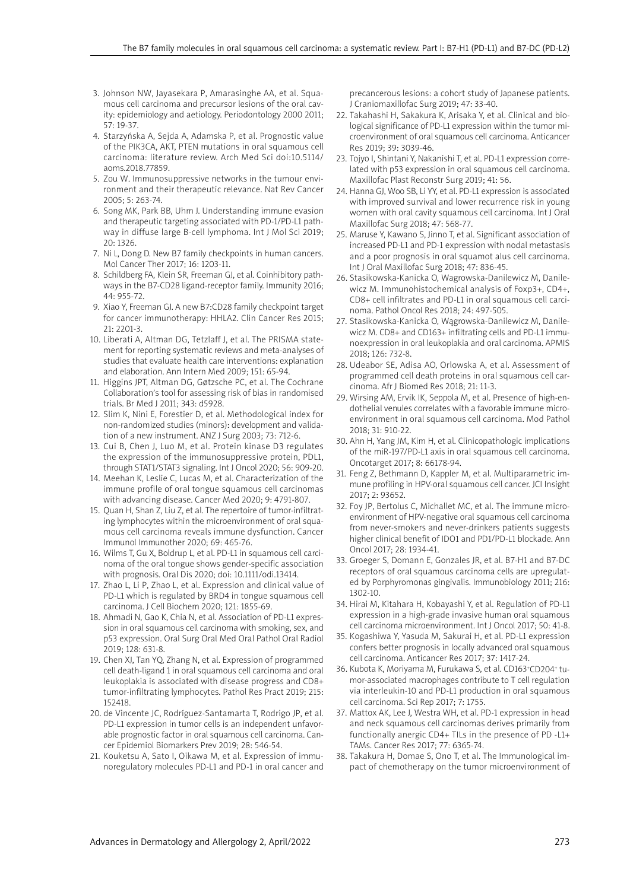- 3. Johnson NW, Jayasekara P, Amarasinghe AA, et al. Squamous cell carcinoma and precursor lesions of the oral cavity: epidemiology and aetiology. Periodontology 2000 2011; 57: 19-37.
- 4. Starzyńska A, Sejda A, Adamska P, et al. Prognostic value of the PIK3CA, AKT, PTEN mutations in oral squamous cell carcinoma: literature review. Arch Med Sci doi:10.5114/ aoms.2018.77859.
- 5. Zou W. Immunosuppressive networks in the tumour environment and their therapeutic relevance. Nat Rev Cancer 2005; 5: 263-74.
- 6. Song MK, Park BB, Uhm J. Understanding immune evasion and therapeutic targeting associated with PD-1/PD-L1 pathway in diffuse large B-cell lymphoma. Int J Mol Sci 2019; 20: 1326.
- 7. Ni L, Dong D. New B7 family checkpoints in human cancers. Mol Cancer Ther 2017; 16: 1203-11.
- 8. Schildberg FA, Klein SR, Freeman GJ, et al. Coinhibitory pathways in the B7-CD28 ligand-receptor family. Immunity 2016; 44: 955-72.
- 9. Xiao Y, Freeman GJ. A new B7:CD28 family checkpoint target for cancer immunotherapy: HHLA2. Clin Cancer Res 2015; 21: 2201-3.
- 10. Liberati A, Altman DG, Tetzlaff J, et al. The PRISMA statement for reporting systematic reviews and meta-analyses of studies that evaluate health care interventions: explanation and elaboration. Ann Intern Med 2009; 151: 65-94.
- 11. Higgins JPT, Altman DG, Gøtzsche PC, et al. The Cochrane Collaboration's tool for assessing risk of bias in randomised trials. Br Med J 2011; 343: d5928.
- 12. Slim K, Nini E, Forestier D, et al. Methodological index for non-randomized studies (minors): development and validation of a new instrument. ANZ J Surg 2003; 73: 712-6.
- 13. Cui B, Chen J, Luo M, et al. Protein kinase D3 regulates the expression of the immunosuppressive protein, PDL1, through STAT1/STAT3 signaling. Int J Oncol 2020; 56: 909-20.
- 14. Meehan K, Leslie C, Lucas M, et al. Characterization of the immune profile of oral tongue squamous cell carcinomas with advancing disease. Cancer Med 2020; 9: 4791-807.
- 15. Quan H, Shan Z, Liu Z, et al. The repertoire of tumor-infiltrating lymphocytes within the microenvironment of oral squamous cell carcinoma reveals immune dysfunction. Cancer Immunol Immunother 2020; 69: 465-76.
- 16. Wilms T, Gu X, Boldrup L, et al. PD-L1 in squamous cell carcinoma of the oral tongue shows gender-specific association with prognosis. Oral Dis 2020; doi: 10.1111/odi.13414.
- 17. Zhao L, Li P, Zhao L, et al. Expression and clinical value of PD-L1 which is regulated by BRD4 in tongue squamous cell carcinoma. J Cell Biochem 2020; 121: 1855-69.
- 18. Ahmadi N, Gao K, Chia N, et al. Association of PD-L1 expression in oral squamous cell carcinoma with smoking, sex, and p53 expression. Oral Surg Oral Med Oral Pathol Oral Radiol 2019; 128: 631-8.
- 19. Chen XJ, Tan YQ, Zhang N, et al. Expression of programmed cell death-ligand 1 in oral squamous cell carcinoma and oral leukoplakia is associated with disease progress and CD8+ tumor-infiltrating lymphocytes. Pathol Res Pract 2019; 215: 152418.
- 20. de Vincente JC, Rodríguez-Santamarta T, Rodrigo JP, et al. PD-L1 expression in tumor cells is an independent unfavorable prognostic factor in oral squamous cell carcinoma. Cancer Epidemiol Biomarkers Prev 2019; 28: 546-54.
- 21. Kouketsu A, Sato I, Oikawa M, et al. Expression of immunoregulatory molecules PD-L1 and PD-1 in oral cancer and

precancerous lesions: a cohort study of Japanese patients. J Craniomaxillofac Surg 2019; 47: 33-40.

- 22. Takahashi H, Sakakura K, Arisaka Y, et al. Clinical and biological significance of PD-L1 expression within the tumor microenvironment of oral squamous cell carcinoma. Anticancer Res 2019; 39: 3039-46.
- 23. Tojyo I, Shintani Y, Nakanishi T, et al. PD-L1 expression correlated with p53 expression in oral squamous cell carcinoma. Maxillofac Plast Reconstr Surg 2019; 41: 56.
- 24. Hanna GJ, Woo SB, Li YY, et al. PD-L1 expression is associated with improved survival and lower recurrence risk in young women with oral cavity squamous cell carcinoma. Int J Oral Maxillofac Surg 2018; 47: 568-77.
- 25. Maruse Y, Kawano S, Jinno T, et al. Significant association of increased PD-L1 and PD-1 expression with nodal metastasis and a poor prognosis in oral squamot alus cell carcinoma. Int J Oral Maxillofac Surg 2018; 47: 836-45.
- 26. Stasikowska-Kanicka O, Wagrowska-Danilewicz M, Danilewicz M. Immunohistochemical analysis of Foxp3+, CD4+, CD8+ cell infiltrates and PD-L1 in oral squamous cell carcinoma. Pathol Oncol Res 2018; 24: 497-505.
- 27. Stasikowska-Kanicka O, Wągrowska-Danilewicz M, Danilewicz M. CD8+ and CD163+ infiltrating cells and PD-L1 immunoexpression in oral leukoplakia and oral carcinoma. APMIS 2018; 126: 732-8.
- 28. Udeabor SE, Adisa AO, Orlowska A, et al. Assessment of programmed cell death proteins in oral squamous cell carcinoma. Afr J Biomed Res 2018; 21: 11-3.
- 29. Wirsing AM, Ervik IK, Seppola M, et al. Presence of high-endothelial venules correlates with a favorable immune microenvironment in oral squamous cell carcinoma. Mod Pathol 2018; 31: 910-22.
- 30. Ahn H, Yang JM, Kim H, et al. Clinicopathologic implications of the miR-197/PD-L1 axis in oral squamous cell carcinoma. Oncotarget 2017; 8: 66178-94.
- 31. Feng Z, Bethmann D, Kappler M, et al. Multiparametric immune profiling in HPV-oral squamous cell cancer. JCI Insight 2017; 2: 93652.
- 32. Foy JP, Bertolus C, Michallet MC, et al. The immune microenvironment of HPV-negative oral squamous cell carcinoma from never-smokers and never-drinkers patients suggests higher clinical benefit of IDO1 and PD1/PD-L1 blockade. Ann Oncol 2017; 28: 1934-41.
- 33. Groeger S, Domann E, Gonzales JR, et al. B7-H1 and B7-DC receptors of oral squamous carcinoma cells are upregulated by Porphyromonas gingivalis. Immunobiology 2011; 216: 1302-10.
- 34. Hirai M, Kitahara H, Kobayashi Y, et al. Regulation of PD-L1 expression in a high-grade invasive human oral squamous cell carcinoma microenvironment. Int J Oncol 2017; 50: 41-8.
- 35. Kogashiwa Y, Yasuda M, Sakurai H, et al. PD-L1 expression confers better prognosis in locally advanced oral squamous cell carcinoma. Anticancer Res 2017; 37: 1417-24.
- 36. Kubota K, Moriyama M, Furukawa S, et al. CD163+CD204+ tumor-associated macrophages contribute to T cell regulation via interleukin-10 and PD-L1 production in oral squamous cell carcinoma. Sci Rep 2017; 7: 1755.
- 37. Mattox AK, Lee J, Westra WH, et al. PD-1 expression in head and neck squamous cell carcinomas derives primarily from functionally anergic CD4+ TILs in the presence of PD -L1+ TAMs. Cancer Res 2017; 77: 6365-74.
- 38. Takakura H, Domae S, Ono T, et al. The Immunological impact of chemotherapy on the tumor microenvironment of